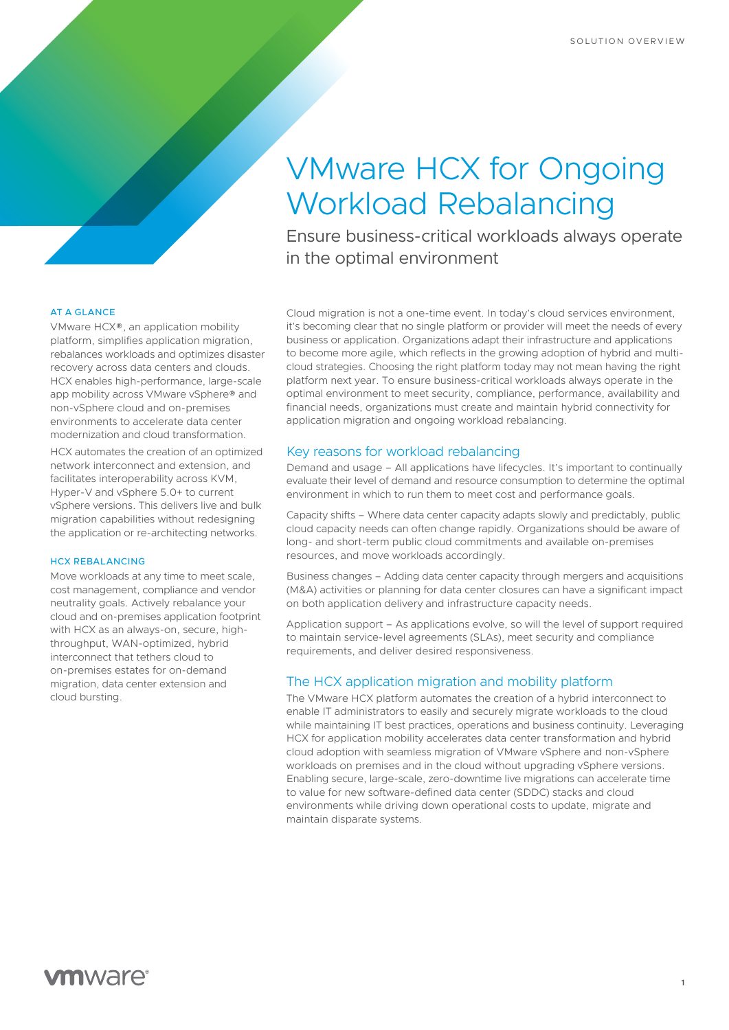# VMware HCX for Ongoing Workload Rebalancing

Ensure business-critical workloads always operate in the optimal environment

### AT A GLANCE

VMware HCX®, an application mobility platform, simplifies application migration, rebalances workloads and optimizes disaster recovery across data centers and clouds. HCX enables high-performance, large-scale app mobility across VMware vSphere® and non-vSphere cloud and on-premises environments to accelerate data center modernization and cloud transformation.

HCX automates the creation of an optimized network interconnect and extension, and facilitates interoperability across KVM, Hyper-V and vSphere 5.0+ to current vSphere versions. This delivers live and bulk migration capabilities without redesigning the application or re-architecting networks.

#### HCX REBALANCING

Move workloads at any time to meet scale, cost management, compliance and vendor neutrality goals. Actively rebalance your cloud and on-premises application footprint with HCX as an always-on, secure, highthroughput, WAN-optimized, hybrid interconnect that tethers cloud to on-premises estates for on-demand migration, data center extension and cloud bursting.

Cloud migration is not a one-time event. In today's cloud services environment, it's becoming clear that no single platform or provider will meet the needs of every business or application. Organizations adapt their infrastructure and applications to become more agile, which reflects in the growing adoption of hybrid and multicloud strategies. Choosing the right platform today may not mean having the right platform next year. To ensure business-critical workloads always operate in the optimal environment to meet security, compliance, performance, availability and financial needs, organizations must create and maintain hybrid connectivity for application migration and ongoing workload rebalancing.

# Key reasons for workload rebalancing

Demand and usage – All applications have lifecycles. It's important to continually evaluate their level of demand and resource consumption to determine the optimal environment in which to run them to meet cost and performance goals.

Capacity shifts – Where data center capacity adapts slowly and predictably, public cloud capacity needs can often change rapidly. Organizations should be aware of long- and short-term public cloud commitments and available on-premises resources, and move workloads accordingly.

Business changes – Adding data center capacity through mergers and acquisitions (M&A) activities or planning for data center closures can have a significant impact on both application delivery and infrastructure capacity needs.

Application support – As applications evolve, so will the level of support required to maintain service-level agreements (SLAs), meet security and compliance requirements, and deliver desired responsiveness.

## The HCX application migration and mobility platform

The VMware HCX platform automates the creation of a hybrid interconnect to enable IT administrators to easily and securely migrate workloads to the cloud while maintaining IT best practices, operations and business continuity. Leveraging HCX for application mobility accelerates data center transformation and hybrid cloud adoption with seamless migration of VMware vSphere and non-vSphere workloads on premises and in the cloud without upgrading vSphere versions. Enabling secure, large-scale, zero-downtime live migrations can accelerate time to value for new software-defined data center (SDDC) stacks and cloud environments while driving down operational costs to update, migrate and maintain disparate systems.

**1**